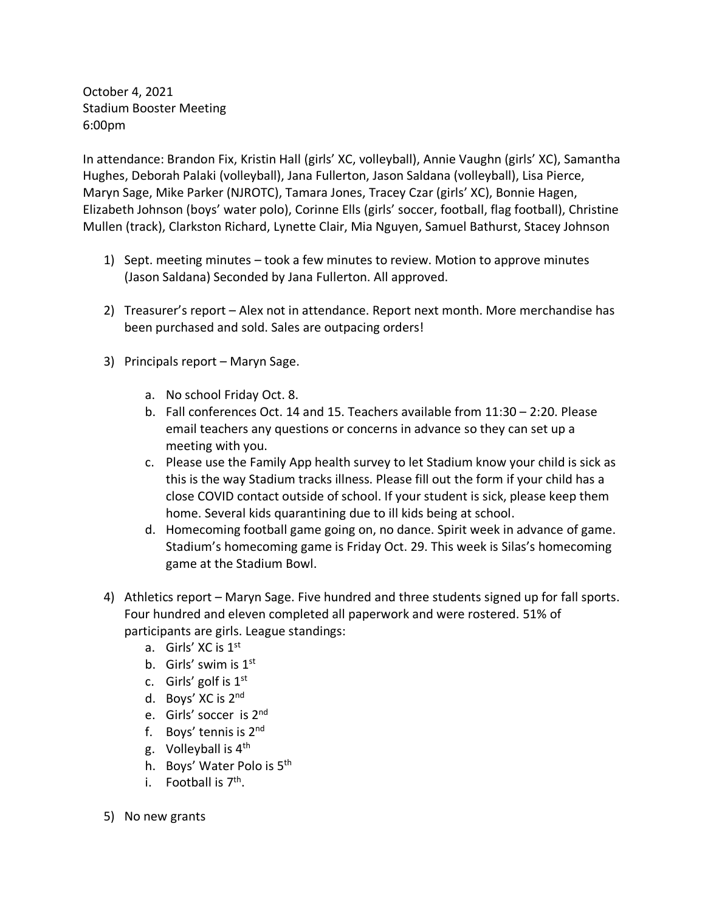October 4, 2021 Stadium Booster Meeting 6:00pm

In attendance: Brandon Fix, Kristin Hall (girls' XC, volleyball), Annie Vaughn (girls' XC), Samantha Hughes, Deborah Palaki (volleyball), Jana Fullerton, Jason Saldana (volleyball), Lisa Pierce, Maryn Sage, Mike Parker (NJROTC), Tamara Jones, Tracey Czar (girls' XC), Bonnie Hagen, Elizabeth Johnson (boys' water polo), Corinne Ells (girls' soccer, football, flag football), Christine Mullen (track), Clarkston Richard, Lynette Clair, Mia Nguyen, Samuel Bathurst, Stacey Johnson

- 1) Sept. meeting minutes took a few minutes to review. Motion to approve minutes (Jason Saldana) Seconded by Jana Fullerton. All approved.
- 2) Treasurer's report Alex not in attendance. Report next month. More merchandise has been purchased and sold. Sales are outpacing orders!
- 3) Principals report Maryn Sage.
	- a. No school Friday Oct. 8.
	- b. Fall conferences Oct. 14 and 15. Teachers available from 11:30 2:20. Please email teachers any questions or concerns in advance so they can set up a meeting with you.
	- c. Please use the Family App health survey to let Stadium know your child is sick as this is the way Stadium tracks illness. Please fill out the form if your child has a close COVID contact outside of school. If your student is sick, please keep them home. Several kids quarantining due to ill kids being at school.
	- d. Homecoming football game going on, no dance. Spirit week in advance of game. Stadium's homecoming game is Friday Oct. 29. This week is Silas's homecoming game at the Stadium Bowl.
- 4) Athletics report Maryn Sage. Five hundred and three students signed up for fall sports. Four hundred and eleven completed all paperwork and were rostered. 51% of participants are girls. League standings:
	- a. Girls' XC is 1<sup>st</sup>
	- b. Girls' swim is  $1<sup>st</sup>$
	- c. Girls' golf is  $1<sup>st</sup>$
	- d. Boys' XC is 2nd
	- e. Girls' soccer is 2nd
	- f. Boys' tennis is 2nd
	- g. Volleyball is  $4<sup>th</sup>$
	- h. Boys' Water Polo is 5<sup>th</sup>
	- i. Football is  $7<sup>th</sup>$ .
- 5) No new grants